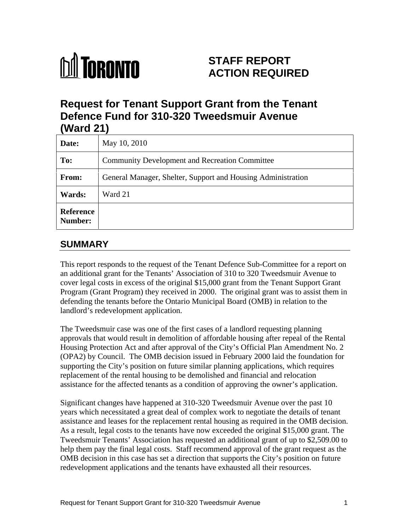# **M** TORONTO

# **STAFF REPORT ACTION REQUIRED**

# **Request for Tenant Support Grant from the Tenant Defence Fund for 310-320 Tweedsmuir Avenue (Ward 21)**

| Date:                | May 10, 2010                                                 |
|----------------------|--------------------------------------------------------------|
| To:                  | Community Development and Recreation Committee               |
| From:                | General Manager, Shelter, Support and Housing Administration |
| <b>Wards:</b>        | Ward 21                                                      |
| Reference<br>Number: |                                                              |

## **SUMMARY**

This report responds to the request of the Tenant Defence Sub-Committee for a report on an additional grant for the Tenants' Association of 310 to 320 Tweedsmuir Avenue to cover legal costs in excess of the original \$15,000 grant from the Tenant Support Grant Program (Grant Program) they received in 2000. The original grant was to assist them in defending the tenants before the Ontario Municipal Board (OMB) in relation to the landlord's redevelopment application. The Tweedsmuir case was one of the first cases of a landlord requesting planning

approvals that would result in demolition of affordable housing after repeal of the Rental Housing Protection Act and after approval of the City's Official Plan Amendment No. 2 (OPA2) by Council. The OMB decision issued in February 2000 laid the foundation for supporting the City's position on future similar planning applications, which requires replacement of the rental housing to be demolished and financial and relocation

assistance for the affected tenants as a condition of approving the owner's application. Significant changes have happened at 310-320 Tweedsmuir Avenue over the past 10 years which necessitated a great deal of complex work to negotiate the details of tenant assistance and leases for the replacement rental housing as required in the OMB decision. As a result, legal costs to the tenants have now exceeded the original \$15,000 grant. The Tweedsmuir Tenants' Association has requested an additional grant of up to \$2,509.00 to help them pay the final legal costs. Staff recommend approval of the grant request as the OMB decision in this case has set a direction that supports the City's position on future redevelopment applications and the tenants have exhausted all their resources.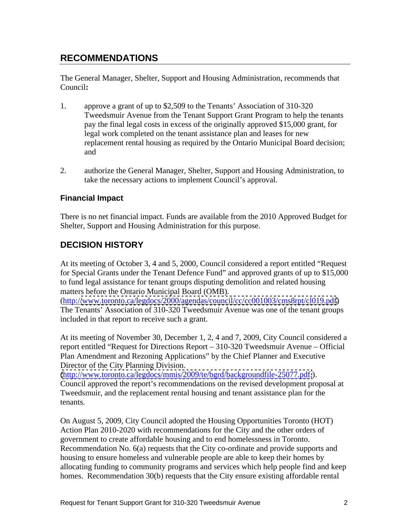# **RECOMMENDATIONS**

The General Manager, Shelter, Support and Housing Administration, recommends that Council**:**

- 1. approve a grant of up to \$2,509 to the Tenants' Association of 310-320 Tweedsmuir Avenue from the Tenant Support Grant Program to help the tenants pay the final legal costs in excess of the originally approved \$15,000 grant, for legal work completed on the tenant assistance plan and leases for new replacement rental housing as required by the Ontario Municipal Board decision; and
- 2. authorize the General Manager, Shelter, Support and Housing Administration, to take the necessary actions to implement Council's approval.

#### **Financial Impact**

There is no net financial impact. Funds are available from the 2010 Approved Budget for Shelter, Support and Housing Administration for this purpose.

#### **DECISION HISTORY**

At its meeting of October 3, 4 and 5, 2000, Council considered a report entitled "Request for Special Grants under the Tenant Defence Fund" and approved grants of up to \$15,000 to fund legal assistance for tenant groups disputing demolition and related housing matters before the Ontario Municipal Board (OMB).<br>(http:/[/www.toronto.ca/legdocs/2000/agendas/council/cc/cc001003/cms8rpt/cl019.pdf\)](http://www.toronto.ca/legdocs/2000/agendas/council/cc/cc001003/cms8rpt/cl019.pdf)

The Tenants' Association of 310-320 Tweedsmuir Avenue was one of the tenant groups included in that report to receive such a grant.

At its meeting of November 30, December 1, 2, 4 and 7, 2009, City Council considered a report entitled "Request for Directions Report – 310-320 Tweedsmuir Avenue – Official Plan Amendment and Rezoning Applications" by the Chief Planner and Executive Director of the City Planning Division.

[\(http://www.toronto.ca/legdocs/mmis/2009/te/bgrd/backgroundfile-25077.pdf.](http://www.toronto.ca/legdocs/mmis/2009/te/bgrd/backgroundfile-25077.pdf.)).<br>Council approved the report's recommendations on the revised development proposal at Tweedsmuir, and the replacement rental housing and tenant assistance plan for the tenants.

On August 5, 2009, City Council adopted the Housing Opportunities Toronto (HOT) Action Plan 2010-2020 with recommendations for the City and the other orders of government to create affordable housing and to end homelessness in Toronto. Recommendation No. 6(a) requests that the City co-ordinate and provide supports and housing to ensure homeless and vulnerable people are able to keep their homes by allocating funding to community programs and services which help people find and keep homes. Recommendation 30(b) requests that the City ensure existing affordable rental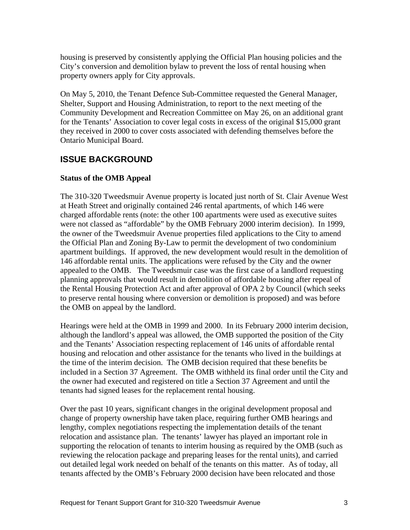housing is preserved by consistently applying the Official Plan housing policies and the City's conversion and demolition bylaw to prevent the loss of rental housing when property owners apply for City approvals.

On May 5, 2010, the Tenant Defence Sub-Committee requested the General Manager, Shelter, Support and Housing Administration, to report to the next meeting of the Community Development and Recreation Committee on May 26, on an additional grant for the Tenants' Association to cover legal costs in excess of the original \$15,000 grant they received in 2000 to cover costs associated with defending themselves before the Ontario Municipal Board.

### **ISSUE BACKGROUND**

#### **Status of the OMB Appeal**

The 310-320 Tweedsmuir Avenue property is located just north of St. Clair Avenue West at Heath Street and originally contained 246 rental apartments, of which 146 were charged affordable rents (note: the other 100 apartments were used as executive suites were not classed as "affordable" by the OMB February 2000 interim decision). In 1999, the owner of the Tweedsmuir Avenue properties filed applications to the City to amend the Official Plan and Zoning By-Law to permit the development of two condominium apartment buildings. If approved, the new development would result in the demolition of 146 affordable rental units. The applications were refused by the City and the owner appealed to the OMB. The Tweedsmuir case was the first case of a landlord requesting planning approvals that would result in demolition of affordable housing after repeal of the Rental Housing Protection Act and after approval of OPA 2 by Council (which seeks to preserve rental housing where conversion or demolition is proposed) and was before the OMB on appeal by the landlord.

Hearings were held at the OMB in 1999 and 2000. In its February 2000 interim decision, although the landlord's appeal was allowed, the OMB supported the position of the City and the Tenants' Association respecting replacement of 146 units of affordable rental housing and relocation and other assistance for the tenants who lived in the buildings at the time of the interim decision. The OMB decision required that these benefits be included in a Section 37 Agreement. The OMB withheld its final order until the City and the owner had executed and registered on title a Section 37 Agreement and until the tenants had signed leases for the replacement rental housing.

Over the past 10 years, significant changes in the original development proposal and change of property ownership have taken place, requiring further OMB hearings and lengthy, complex negotiations respecting the implementation details of the tenant relocation and assistance plan. The tenants' lawyer has played an important role in supporting the relocation of tenants to interim housing as required by the OMB (such as reviewing the relocation package and preparing leases for the rental units), and carried out detailed legal work needed on behalf of the tenants on this matter. As of today, all tenants affected by the OMB's February 2000 decision have been relocated and those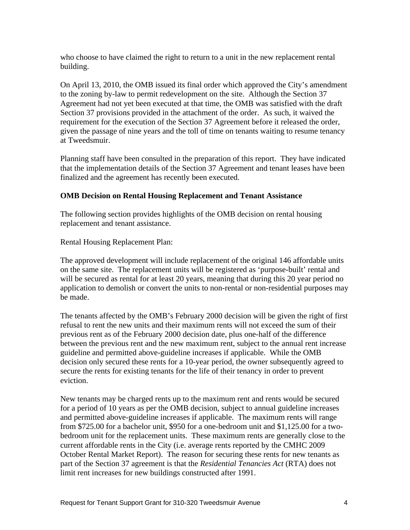who choose to have claimed the right to return to a unit in the new replacement rental building.

On April 13, 2010, the OMB issued its final order which approved the City's amendment to the zoning by-law to permit redevelopment on the site. Although the Section 37 Agreement had not yet been executed at that time, the OMB was satisfied with the draft Section 37 provisions provided in the attachment of the order. As such, it waived the requirement for the execution of the Section 37 Agreement before it released the order, given the passage of nine years and the toll of time on tenants waiting to resume tenancy at Tweedsmuir.

Planning staff have been consulted in the preparation of this report. They have indicated that the implementation details of the Section 37 Agreement and tenant leases have been finalized and the agreement has recently been executed.

#### **OMB Decision on Rental Housing Replacement and Tenant Assistance**

The following section provides highlights of the OMB decision on rental housing replacement and tenant assistance.

Rental Housing Replacement Plan:

The approved development will include replacement of the original 146 affordable units on the same site. The replacement units will be registered as 'purpose-built' rental and will be secured as rental for at least 20 years, meaning that during this 20 year period no application to demolish or convert the units to non-rental or non-residential purposes may be made.

The tenants affected by the OMB's February 2000 decision will be given the right of first refusal to rent the new units and their maximum rents will not exceed the sum of their previous rent as of the February 2000 decision date, plus one-half of the difference between the previous rent and the new maximum rent, subject to the annual rent increase guideline and permitted above-guideline increases if applicable. While the OMB decision only secured these rents for a 10-year period, the owner subsequently agreed to secure the rents for existing tenants for the life of their tenancy in order to prevent eviction.

New tenants may be charged rents up to the maximum rent and rents would be secured for a period of 10 years as per the OMB decision, subject to annual guideline increases and permitted above-guideline increases if applicable. The maximum rents will range from \$725.00 for a bachelor unit, \$950 for a one-bedroom unit and \$1,125.00 for a two bedroom unit for the replacement units. These maximum rents are generally close to the current affordable rents in the City (i.e. average rents reported by the CMHC 2009 October Rental Market Report). The reason for securing these rents for new tenants as part of the Section 37 agreement is that the *Residential Tenancies Act* (RTA) does not limit rent increases for new buildings constructed after 1991.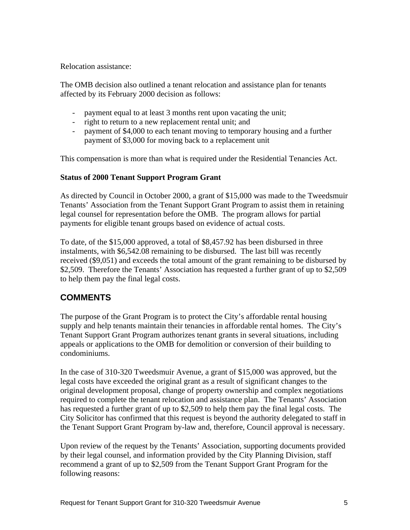Relocation assistance:

The OMB decision also outlined a tenant relocation and assistance plan for tenants affected by its February 2000 decision as follows:<br>- payment equal to at least 3 months rent upon vacating the unit;

- 
- right to return to a new replacement rental unit; and
- payment of \$4,000 to each tenant moving to temporary housing and a further payment of \$3,000 for moving back to a replacement unit

This compensation is more than what is required under the Residential Tenancies Act.

#### **Status of 2000 Tenant Support Program Grant**

As directed by Council in October 2000, a grant of \$15,000 was made to the Tweedsmuir Tenants' Association from the Tenant Support Grant Program to assist them in retaining legal counsel for representation before the OMB. The program allows for partial payments for eligible tenant groups based on evidence of actual costs.

To date, of the \$15,000 approved, a total of \$8,457.92 has been disbursed in three instalments, with \$6,542.08 remaining to be disbursed. The last bill was recently received (\$9,051) and exceeds the total amount of the grant remaining to be disbursed by \$2,509. Therefore the Tenants' Association has requested a further grant of up to \$2,509 to help them pay the final legal costs.

# **COMMENTS**

The purpose of the Grant Program is to protect the City's affordable rental housing supply and help tenants maintain their tenancies in affordable rental homes. The City's Tenant Support Grant Program authorizes tenant grants in several situations, including appeals or applications to the OMB for demolition or conversion of their building to condominiums.<br>In the case of 310-320 Tweedsmuir Avenue, a grant of \$15,000 was approved, but the

legal costs have exceeded the original grant as a result of significant changes to the original development proposal, change of property ownership and complex negotiations required to complete the tenant relocation and assistance plan. The Tenants' Association has requested a further grant of up to \$2,509 to help them pay the final legal costs. The City Solicitor has confirmed that this request is beyond the authority delegated to staff in the Tenant Support Grant Program by-law and, therefore, Council approval is necessary.

Upon review of the request by the Tenants' Association, supporting documents provided by their legal counsel, and information provided by the City Planning Division, staff recommend a grant of up to \$2,509 from the Tenant Support Grant Program for the following reasons: